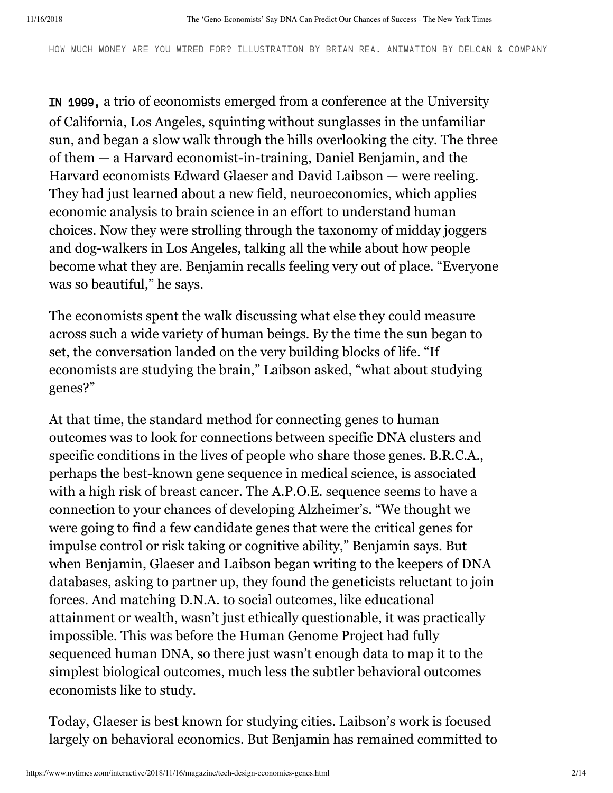HOW MUCH MONEY ARE YOU WIRED FOR? ILLUSTRATION BY BRIAN REA. ANIMATION BY DELCAN & COMPANY

IN 1999, a trio of economists emerged from a conference at the University of California, Los Angeles, squinting without sunglasses in the unfamiliar sun, and began a slow walk through the hills overlooking the city. The three of them — a Harvard economist-in-training, Daniel Benjamin, and the Harvard economists Edward Glaeser and David Laibson — were reeling. They had just learned about a new field, neuroeconomics, which applies economic analysis to brain science in an effort to understand human choices. Now they were strolling through the taxonomy of midday joggers and dog-walkers in Los Angeles, talking all the while about how people become what they are. Benjamin recalls feeling very out of place. "Everyone was so beautiful," he says.

The economists spent the walk discussing what else they could measure across such a wide variety of human beings. By the time the sun began to set, the conversation landed on the very building blocks of life. "If economists are studying the brain," Laibson asked, "what about studying genes?"

At that time, the standard method for connecting genes to human outcomes was to look for connections between specific DNA clusters and specific conditions in the lives of people who share those genes. B.R.C.A., perhaps the best-known gene sequence in medical science, is associated with a high risk of breast cancer. The A.P.O.E. sequence seems to have a connection to your chances of developing Alzheimer's. "We thought we were going to find a few candidate genes that were the critical genes for impulse control or risk taking or cognitive ability," Benjamin says. But when Benjamin, Glaeser and Laibson began writing to the keepers of DNA databases, asking to partner up, they found the geneticists reluctant to join forces. And matching D.N.A. to social outcomes, like educational attainment or wealth, wasn't just ethically questionable, it was practically impossible. This was before the Human Genome Project had fully sequenced human DNA, so there just wasn't enough data to map it to the simplest biological outcomes, much less the subtler behavioral outcomes economists like to study.

Today, Glaeser is best known for studying cities. Laibson's work is focused largely on behavioral economics. But Benjamin has remained committed to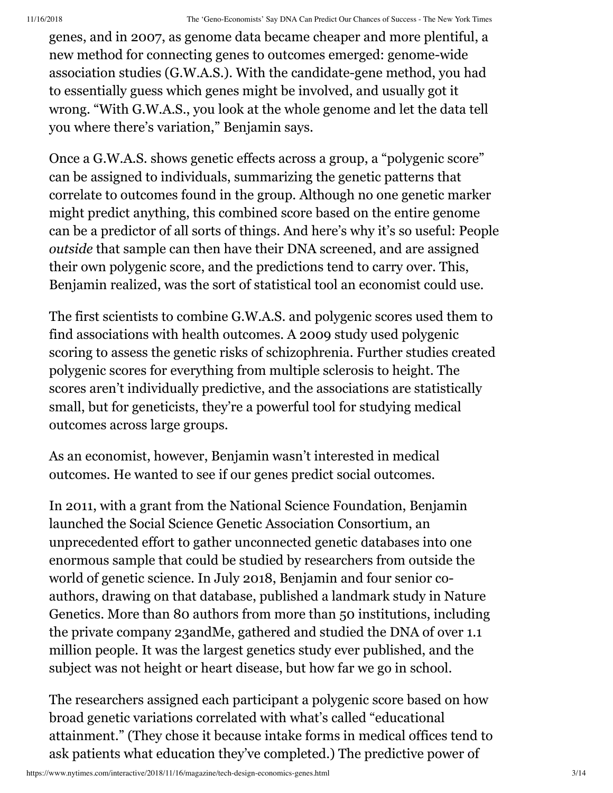11/16/2018 The 'Geno-Economists' Say DNA Can Predict Our Chances of Success - The New York Times

genes, and in 2007, as genome data became cheaper and more plentiful, a new method for connecting genes to outcomes emerged: genome-wide association studies (G.W.A.S.). With the candidate-gene method, you had to essentially guess which genes might be involved, and usually got it wrong. "With G.W.A.S., you look at the whole genome and let the data tell you where there's variation," Benjamin says.

Once a G.W.A.S. shows genetic effects across a group, a "polygenic score" can be assigned to individuals, summarizing the genetic patterns that correlate to outcomes found in the group. Although no one genetic marker might predict anything, this combined score based on the entire genome can be a predictor of all sorts of things. And here's why it's so useful: People *outside* that sample can then have their DNA screened, and are assigned their own polygenic score, and the predictions tend to carry over. This, Benjamin realized, was the sort of statistical tool an economist could use.

The first scientists to combine G.W.A.S. and polygenic scores used them to find associations with health outcomes. A 2009 study used polygenic scoring to assess the genetic risks of schizophrenia. Further studies created polygenic scores for everything from multiple sclerosis to height. The scores aren't individually predictive, and the associations are statistically small, but for geneticists, they're a powerful tool for studying medical outcomes across large groups.

As an economist, however, Benjamin wasn't interested in medical outcomes. He wanted to see if our genes predict social outcomes.

In 2011, with a grant from the National Science Foundation, Benjamin launched the Social Science Genetic Association Consortium, an unprecedented effort to gather unconnected genetic databases into one enormous sample that could be studied by researchers from outside the world of genetic science. In July 2018, Benjamin and four senior coauthors, drawing on that database, published a landmark study in Nature Genetics. More than 80 authors from more than 50 institutions, including the private company 23andMe, gathered and studied the DNA of over 1.1 million people. It was the largest genetics study ever published, and the subject was not height or heart disease, but how far we go in school.

The researchers assigned each participant a polygenic score based on how broad genetic variations correlated with what's called "educational attainment." (They chose it because intake forms in medical offices tend to ask patients what education they've completed.) The predictive power of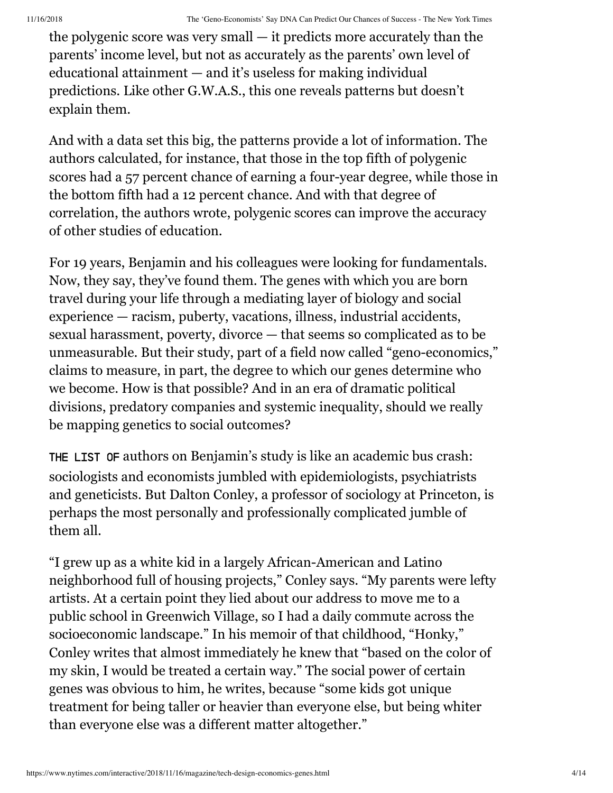the polygenic score was very small — it predicts more accurately than the parents' income level, but not as accurately as the parents' own level of educational attainment — and it's useless for making individual predictions. Like other G.W.A.S., this one reveals patterns but doesn't explain them.

And with a data set this big, the patterns provide a lot of information. The authors calculated, for instance, that those in the top fifth of polygenic scores had a 57 percent chance of earning a four-year degree, while those in the bottom fifth had a 12 percent chance. And with that degree of correlation, the authors wrote, polygenic scores can improve the accuracy of other studies of education.

For 19 years, Benjamin and his colleagues were looking for fundamentals. Now, they say, they've found them. The genes with which you are born travel during your life through a mediating layer of biology and social experience — racism, puberty, vacations, illness, industrial accidents, sexual harassment, poverty, divorce — that seems so complicated as to be unmeasurable. But their study, part of a field now called "geno-economics," claims to measure, in part, the degree to which our genes determine who we become. How is that possible? And in an era of dramatic political divisions, predatory companies and systemic inequality, should we really be mapping genetics to social outcomes?

THE LIST OF authors on Benjamin's study is like an academic bus crash: sociologists and economists jumbled with epidemiologists, psychiatrists and geneticists. But Dalton Conley, a professor of sociology at Princeton, is perhaps the most personally and professionally complicated jumble of them all.

"I grew up as a white kid in a largely African-American and Latino neighborhood full of housing projects," Conley says. "My parents were lefty artists. At a certain point they lied about our address to move me to a public school in Greenwich Village, so I had a daily commute across the socioeconomic landscape." In his memoir of that childhood, "Honky," Conley writes that almost immediately he knew that "based on the color of my skin, I would be treated a certain way." The social power of certain genes was obvious to him, he writes, because "some kids got unique treatment for being taller or heavier than everyone else, but being whiter than everyone else was a different matter altogether."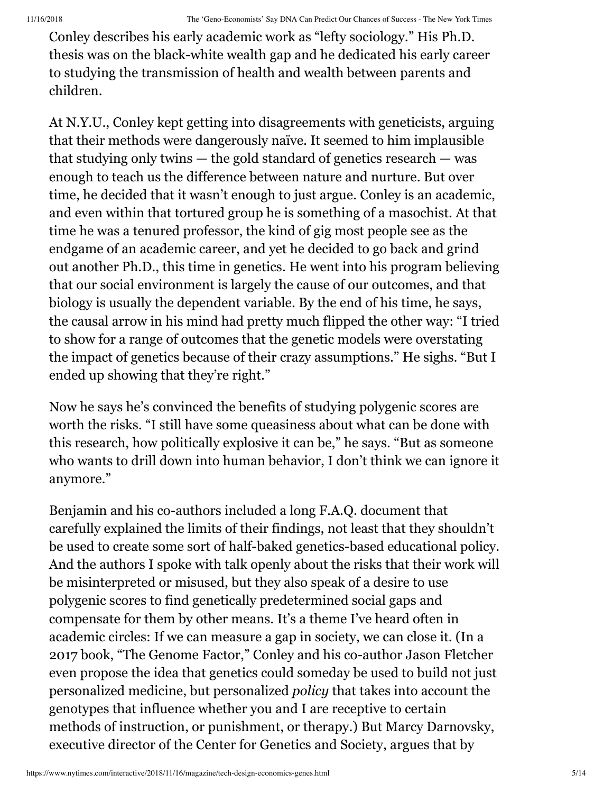Conley describes his early academic work as "lefty sociology." His Ph.D. thesis was on the black-white wealth gap and he dedicated his early career to studying the transmission of health and wealth between parents and children.

At N.Y.U., Conley kept getting into disagreements with geneticists, arguing that their methods were dangerously naïve. It seemed to him implausible that studying only twins  $-$  the gold standard of genetics research  $-$  was enough to teach us the difference between nature and nurture. But over time, he decided that it wasn't enough to just argue. Conley is an academic, and even within that tortured group he is something of a masochist. At that time he was a tenured professor, the kind of gig most people see as the endgame of an academic career, and yet he decided to go back and grind out another Ph.D., this time in genetics. He went into his program believing that our social environment is largely the cause of our outcomes, and that biology is usually the dependent variable. By the end of his time, he says, the causal arrow in his mind had pretty much flipped the other way: "I tried to show for a range of outcomes that the genetic models were overstating the impact of genetics because of their crazy assumptions." He sighs. "But I ended up showing that they're right."

Now he says he's convinced the benefits of studying polygenic scores are worth the risks. "I still have some queasiness about what can be done with this research, how politically explosive it can be," he says. "But as someone who wants to drill down into human behavior, I don't think we can ignore it anymore."

Benjamin and his co-authors included a long F.A.Q. document that carefully explained the limits of their findings, not least that they shouldn't be used to create some sort of half-baked genetics-based educational policy. And the authors I spoke with talk openly about the risks that their work will be misinterpreted or misused, but they also speak of a desire to use polygenic scores to find genetically predetermined social gaps and compensate for them by other means. It's a theme I've heard often in academic circles: If we can measure a gap in society, we can close it. (In a 2017 book, "The Genome Factor," Conley and his co-author Jason Fletcher even propose the idea that genetics could someday be used to build not just personalized medicine, but personalized *policy* that takes into account the genotypes that influence whether you and I are receptive to certain methods of instruction, or punishment, or therapy.) But Marcy Darnovsky, executive director of the Center for Genetics and Society, argues that by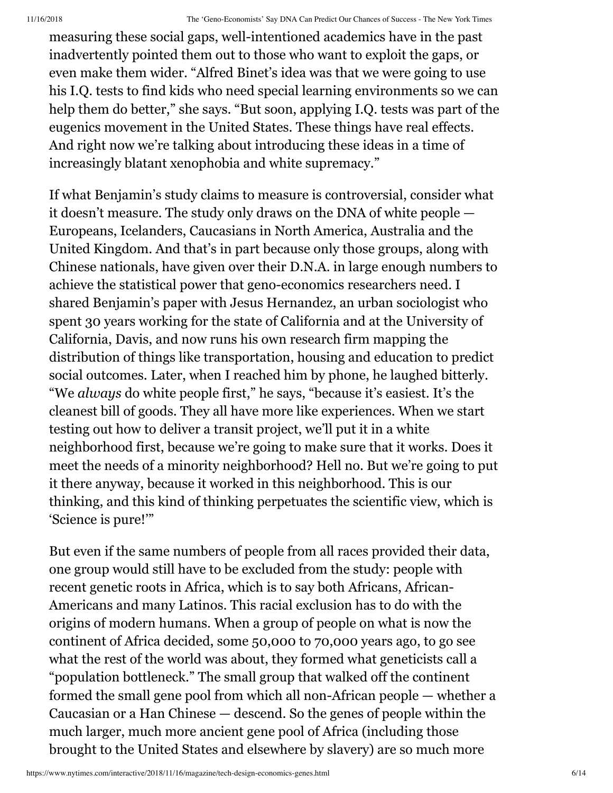measuring these social gaps, well-intentioned academics have in the past inadvertently pointed them out to those who want to exploit the gaps, or even make them wider. "Alfred Binet's idea was that we were going to use his I.Q. tests to find kids who need special learning environments so we can help them do better," she says. "But soon, applying I.Q. tests was part of the eugenics movement in the United States. These things have real effects. And right now we're talking about introducing these ideas in a time of increasingly blatant xenophobia and white supremacy."

If what Benjamin's study claims to measure is controversial, consider what it doesn't measure. The study only draws on the DNA of white people — Europeans, Icelanders, Caucasians in North America, Australia and the United Kingdom. And that's in part because only those groups, along with Chinese nationals, have given over their D.N.A. in large enough numbers to achieve the statistical power that geno-economics researchers need. I shared Benjamin's paper with Jesus Hernandez, an urban sociologist who spent 30 years working for the state of California and at the University of California, Davis, and now runs his own research firm mapping the distribution of things like transportation, housing and education to predict social outcomes. Later, when I reached him by phone, he laughed bitterly. "We *always* do white people first," he says, "because it's easiest. It's the cleanest bill of goods. They all have more like experiences. When we start testing out how to deliver a transit project, we'll put it in a white neighborhood first, because we're going to make sure that it works. Does it meet the needs of a minority neighborhood? Hell no. But we're going to put it there anyway, because it worked in this neighborhood. This is our thinking, and this kind of thinking perpetuates the scientific view, which is 'Science is pure!'"

But even if the same numbers of people from all races provided their data, one group would still have to be excluded from the study: people with recent genetic roots in Africa, which is to say both Africans, African-Americans and many Latinos. This racial exclusion has to do with the origins of modern humans. When a group of people on what is now the continent of Africa decided, some 50,000 to 70,000 years ago, to go see what the rest of the world was about, they formed what geneticists call a "population bottleneck." The small group that walked off the continent formed the small gene pool from which all non-African people — whether a Caucasian or a Han Chinese — descend. So the genes of people within the much larger, much more ancient gene pool of Africa (including those brought to the United States and elsewhere by slavery) are so much more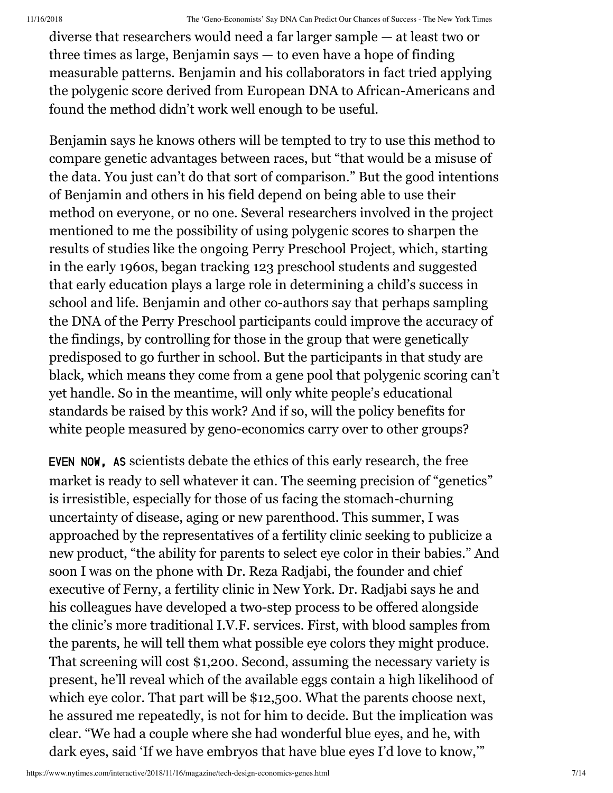diverse that researchers would need a far larger sample — at least two or three times as large, Benjamin says — to even have a hope of finding measurable patterns. Benjamin and his collaborators in fact tried applying the polygenic score derived from European DNA to African-Americans and found the method didn't work well enough to be useful.

Benjamin says he knows others will be tempted to try to use this method to compare genetic advantages between races, but "that would be a misuse of the data. You just can't do that sort of comparison." But the good intentions of Benjamin and others in his field depend on being able to use their method on everyone, or no one. Several researchers involved in the project mentioned to me the possibility of using polygenic scores to sharpen the results of studies like the ongoing Perry Preschool Project, which, starting in the early 1960s, began tracking 123 preschool students and suggested that early education plays a large role in determining a child's success in school and life. Benjamin and other co-authors say that perhaps sampling the DNA of the Perry Preschool participants could improve the accuracy of the findings, by controlling for those in the group that were genetically predisposed to go further in school. But the participants in that study are black, which means they come from a gene pool that polygenic scoring can't yet handle. So in the meantime, will only white people's educational standards be raised by this work? And if so, will the policy benefits for white people measured by geno-economics carry over to other groups?

EVEN NOW, AS scientists debate the ethics of this early research, the free market is ready to sell whatever it can. The seeming precision of "genetics" is irresistible, especially for those of us facing the stomach-churning uncertainty of disease, aging or new parenthood. This summer, I was approached by the representatives of a fertility clinic seeking to publicize a new product, "the ability for parents to select eye color in their babies." And soon I was on the phone with Dr. Reza Radjabi, the founder and chief executive of Ferny, a fertility clinic in New York. Dr. Radjabi says he and his colleagues have developed a two-step process to be offered alongside the clinic's more traditional I.V.F. services. First, with blood samples from the parents, he will tell them what possible eye colors they might produce. That screening will cost \$1,200. Second, assuming the necessary variety is present, he'll reveal which of the available eggs contain a high likelihood of which eye color. That part will be \$12,500. What the parents choose next, he assured me repeatedly, is not for him to decide. But the implication was clear. "We had a couple where she had wonderful blue eyes, and he, with dark eyes, said 'If we have embryos that have blue eyes I'd love to know,'"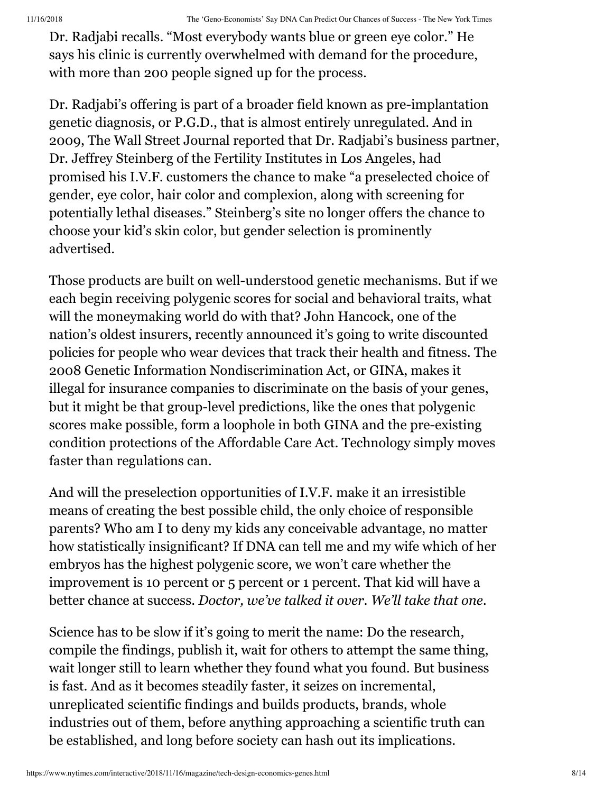Dr. Radjabi recalls. "Most everybody wants blue or green eye color." He says his clinic is currently overwhelmed with demand for the procedure, with more than 200 people signed up for the process.

Dr. Radjabi's offering is part of a broader field known as pre-implantation genetic diagnosis, or P.G.D., that is almost entirely unregulated. And in 2009, The Wall Street Journal reported that Dr. Radjabi's business partner, Dr. Jeffrey Steinberg of the Fertility Institutes in Los Angeles, had promised his I.V.F. customers the chance to make "a preselected choice of gender, eye color, hair color and complexion, along with screening for potentially lethal diseases." Steinberg's site no longer offers the chance to choose your kid's skin color, but gender selection is prominently advertised.

Those products are built on well-understood genetic mechanisms. But if we each begin receiving polygenic scores for social and behavioral traits, what will the moneymaking world do with that? John Hancock, one of the nation's oldest insurers, recently announced it's going to write discounted policies for people who wear devices that track their health and fitness. The 2008 Genetic Information Nondiscrimination Act, or GINA, makes it illegal for insurance companies to discriminate on the basis of your genes, but it might be that group-level predictions, like the ones that polygenic scores make possible, form a loophole in both GINA and the pre-existing condition protections of the Affordable Care Act. Technology simply moves faster than regulations can.

And will the preselection opportunities of I.V.F. make it an irresistible means of creating the best possible child, the only choice of responsible parents? Who am I to deny my kids any conceivable advantage, no matter how statistically insignificant? If DNA can tell me and my wife which of her embryos has the highest polygenic score, we won't care whether the improvement is 10 percent or 5 percent or 1 percent. That kid will have a better chance at success. *Doctor, we've talked it over. We'll take that one.*

Science has to be slow if it's going to merit the name: Do the research, compile the findings, publish it, wait for others to attempt the same thing, wait longer still to learn whether they found what you found. But business is fast. And as it becomes steadily faster, it seizes on incremental, unreplicated scientific findings and builds products, brands, whole industries out of them, before anything approaching a scientific truth can be established, and long before society can hash out its implications.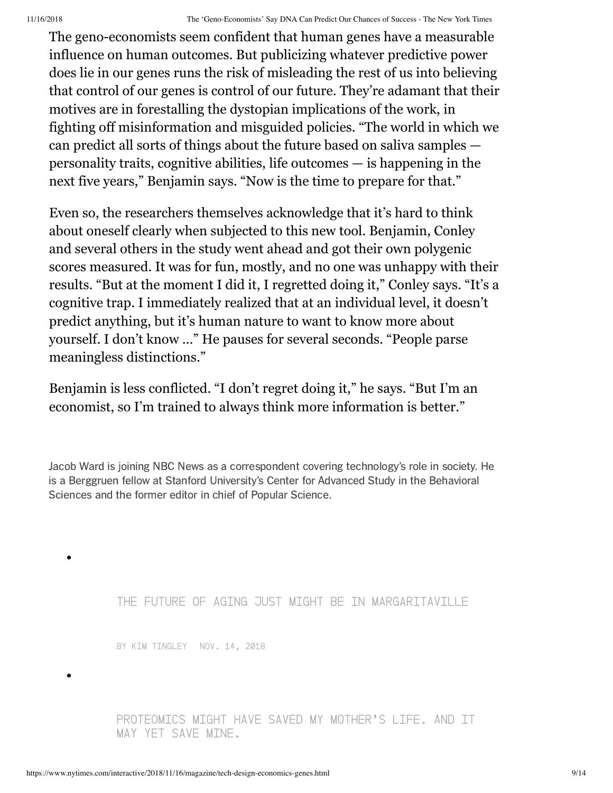The geno-economists seem confident that human genes have a measurable influence on human outcomes. But publicizing whatever predictive power does lie in our genes runs the risk of misleading the rest of us into believing that control of our genes is control of our future. They're adamant that their motives are in forestalling the dystopian implications of the work, in fighting off misinformation and misguided policies. "The world in which we can predict all sorts of things about the future based on saliva samples personality traits, cognitive abilities, life outcomes — is happening in the next five years," Benjamin says. "Now is the time to prepare for that."

Even so, the researchers themselves acknowledge that it's hard to think about oneself clearly when subjected to this new tool. Benjamin, Conley and several others in the study went ahead and got their own polygenic scores measured. It was for fun, mostly, and no one was unhappy with their results. "But at the moment I did it, I regretted doing it," Conley says. "It's a cognitive trap. I immediately realized that at an individual level, it doesn't predict anything, but it's human nature to want to know more about yourself. I don't know …" He pauses for several seconds. "People parse meaningless distinctions."

Benjamin is less conflicted. "I don't regret doing it," he says. "But I'm an economist, so I'm trained to always think more information is better."

Jacob Ward is joining NBC News as a correspondent covering technology's role in society. He is a Berggruen fellow at Stanford University's Center for Advanced Study in the Behavioral Sciences and the former editor in chief of Popular Science.

THE FUTURE OF AGING JUST MIGHT BE IN [MARGARITAVILLE](https://www.nytimes.com/interactive/2018/11/14/magazine/tech-design-longevity-margaritaville.html)

BY KIM TINGLEY NOV. 14, 2018

[PROTEOMICS](https://www.nytimes.com/interactive/2018/11/15/magazine/tech-design-proteomics.html) MIGHT HAVE SAVED MY MOTHER'S LIFE. AND IT MAY YET SAVE MINE.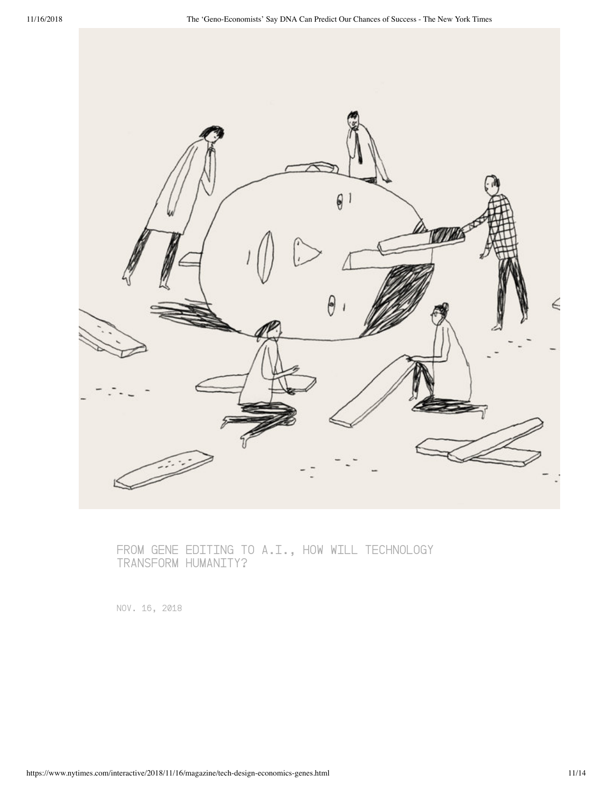

FROM GENE EDITING TO A.I., HOW WILL [TECHNOLOGY](https://www.nytimes.com/interactive/2018/11/16/magazine/tech-design-medicine-phenome.html) TRANSFORM HUMANITY?

NOV. 16, 2018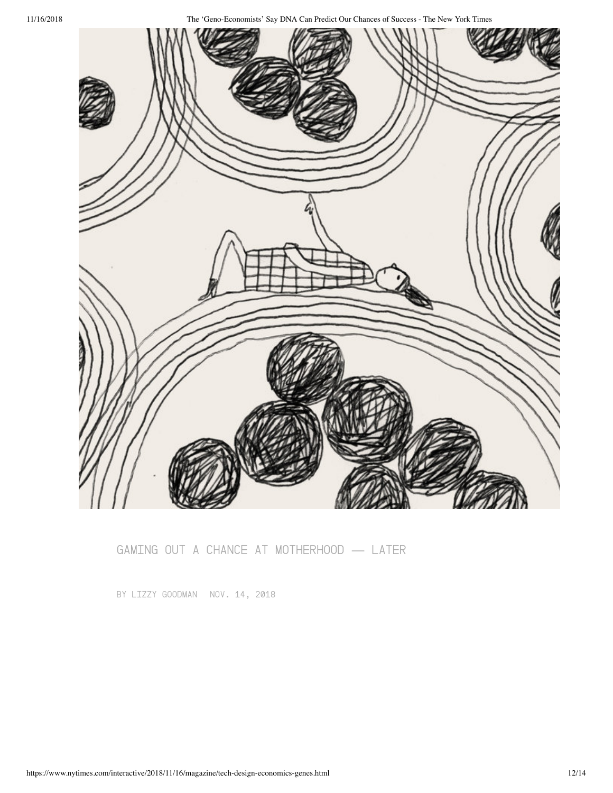11/16/2018 The 'Geno-Economists' Say DNA Can Predict Our Chances of Success - The New York Times



GAMING OUT A CHANCE AT [MOTHERHOOD](https://www.nytimes.com/interactive/2018/11/14/magazine/tech-design-fertility.html) — LATER

BY LIZZY GOODMAN NOV. 14, 2018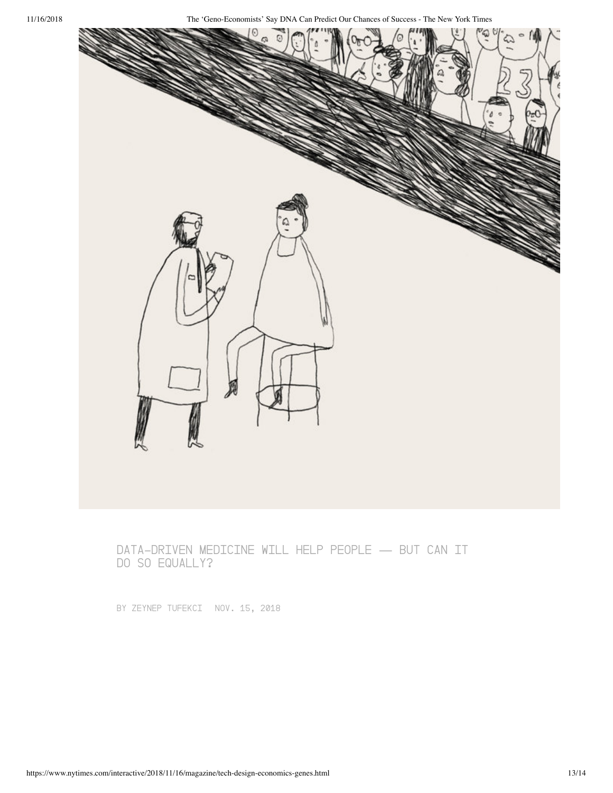11/16/2018 The 'Geno-Economists' Say DNA Can Predict Our Chances of Success - The New York Times



[DATA-DRIVEN](https://www.nytimes.com/interactive/2018/11/15/magazine/tech-design-inequality-health.html) MEDICINE WILL HELP PEOPLE — BUT CAN IT DO SO EQUALLY?

BY ZEYNEP TUFEKCI NOV. 15, 2018